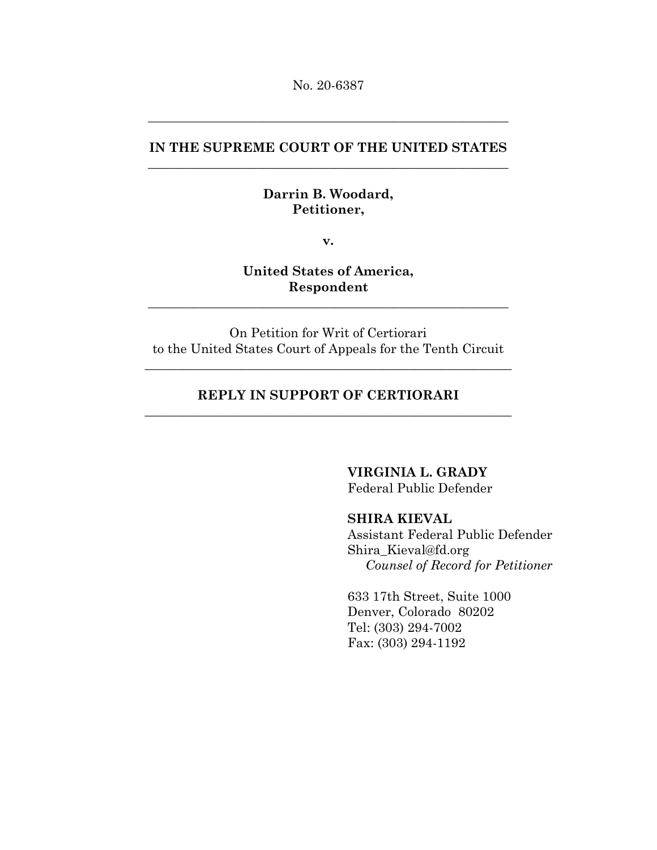No. 20-6387

# **IN THE SUPREME COURT OF THE UNITED STATES** \_\_\_\_\_\_\_\_\_\_\_\_\_\_\_\_\_\_\_\_\_\_\_\_\_\_\_\_\_\_\_\_\_\_\_\_\_\_\_\_\_\_\_\_\_\_\_\_\_\_\_\_\_\_\_\_

\_\_\_\_\_\_\_\_\_\_\_\_\_\_\_\_\_\_\_\_\_\_\_\_\_\_\_\_\_\_\_\_\_\_\_\_\_\_\_\_\_\_\_\_\_\_\_\_\_\_\_\_\_\_\_\_

### **Darrin B. Woodard, Petitioner,**

**v.**

**United States of America, Respondent**

\_\_\_\_\_\_\_\_\_\_\_\_\_\_\_\_\_\_\_\_\_\_\_\_\_\_\_\_\_\_\_\_\_\_\_\_\_\_\_\_\_\_\_\_\_\_\_\_\_\_\_\_\_\_\_\_

On Petition for Writ of Certiorari to the United States Court of Appeals for the Tenth Circuit

\_\_\_\_\_\_\_\_\_\_\_\_\_\_\_\_\_\_\_\_\_\_\_\_\_\_\_\_\_\_\_\_\_\_\_\_\_\_\_\_\_\_\_\_\_\_\_\_\_\_\_\_\_\_\_\_\_

# **REPLY IN SUPPORT OF CERTIORARI** \_\_\_\_\_\_\_\_\_\_\_\_\_\_\_\_\_\_\_\_\_\_\_\_\_\_\_\_\_\_\_\_\_\_\_\_\_\_\_\_\_\_\_\_\_\_\_\_\_\_\_\_\_\_\_\_\_

**VIRGINIA L. GRADY**

Federal Public Defender

## **SHIRA KIEVAL**

Assistant Federal Public Defender Shira\_Kieval@fd.org *Counsel of Record for Petitioner*

633 17th Street, Suite 1000 Denver, Colorado 80202 Tel: (303) 294-7002 Fax: (303) 294-1192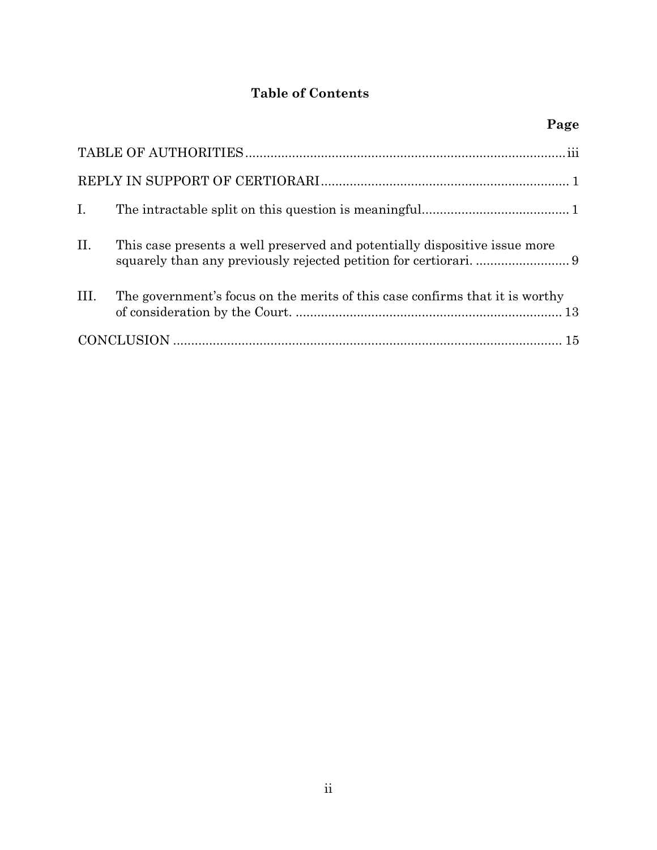# **Table of Contents**

|                | Page                                                                         |
|----------------|------------------------------------------------------------------------------|
|                |                                                                              |
|                |                                                                              |
| $\mathbf{I}$ . |                                                                              |
| II.            | This case presents a well preserved and potentially dispositive issue more   |
| III.           | The government's focus on the merits of this case confirms that it is worthy |
|                |                                                                              |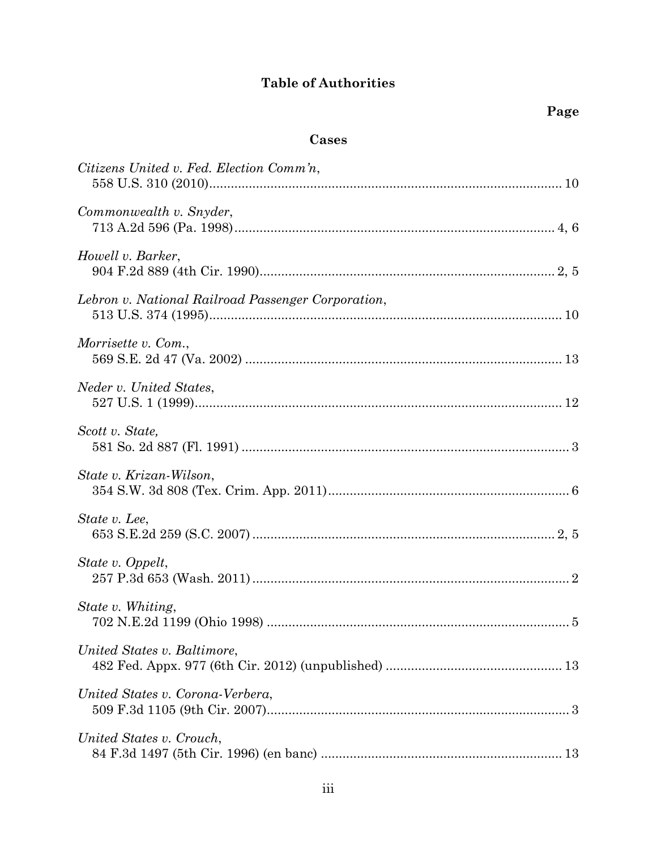# **Table of Authorities**

# **Cases**

<span id="page-2-0"></span>

| Citizens United v. Fed. Election Comm'n,           |  |
|----------------------------------------------------|--|
| Commonwealth v. Snyder,                            |  |
| Howell v. Barker,                                  |  |
| Lebron v. National Railroad Passenger Corporation, |  |
| Morrisette v. Com.,                                |  |
| Neder v. United States,                            |  |
| Scott v. State,                                    |  |
| State v. Krizan-Wilson,                            |  |
| State v. Lee,                                      |  |
| State v. Oppelt,                                   |  |
| State v. Whiting,                                  |  |
| United States v. Baltimore,                        |  |
| United States v. Corona-Verbera,                   |  |
| United States v. Crouch,                           |  |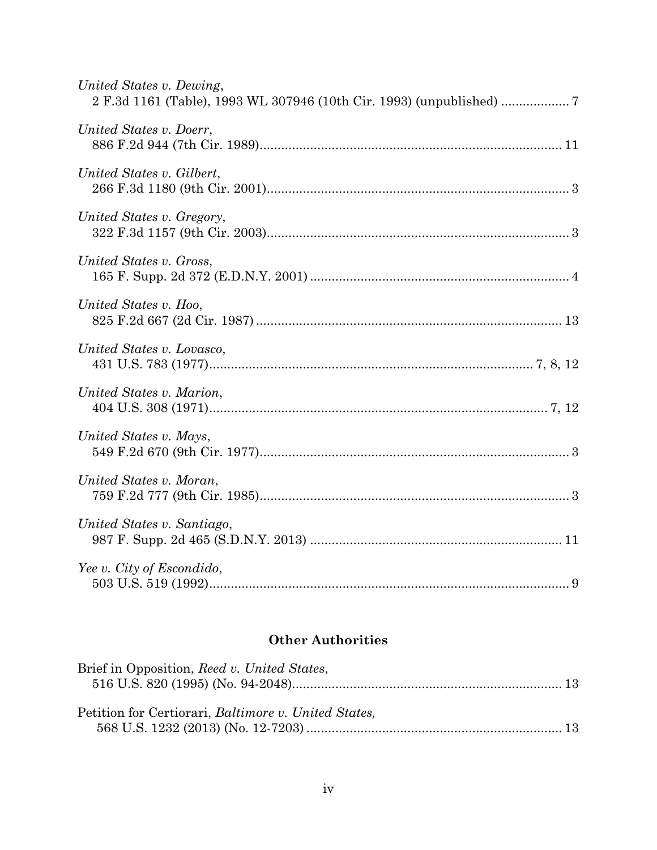| United States v. Dewing,   |
|----------------------------|
| United States v. Doerr,    |
| United States v. Gilbert,  |
| United States v. Gregory,  |
| United States v. Gross,    |
| United States v. Hoo,      |
| United States v. Lovasco,  |
| United States v. Marion,   |
| United States v. Mays,     |
| United States v. Moran,    |
| United States v. Santiago, |
| Yee v. City of Escondido,  |

# **Other Authorities**

| Brief in Opposition, Reed v. United States,          |  |
|------------------------------------------------------|--|
|                                                      |  |
| Petition for Certiorari, Baltimore v. United States, |  |
|                                                      |  |
|                                                      |  |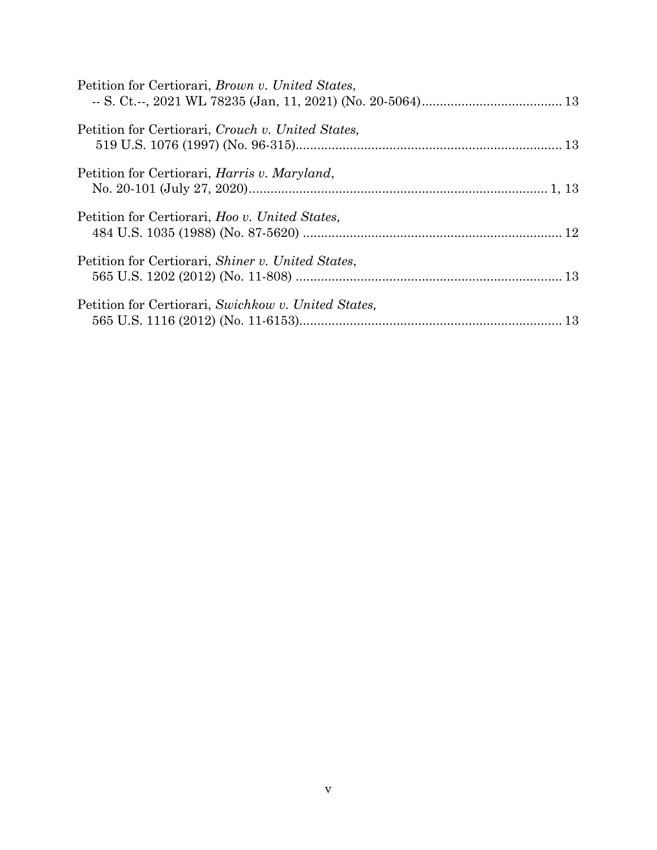| Petition for Certiorari, Brown v. United States,     |  |
|------------------------------------------------------|--|
| Petition for Certiorari, Crouch v. United States,    |  |
| Petition for Certiorari, <i>Harris v. Maryland</i> , |  |
| Petition for Certiorari, Hoo v. United States,       |  |
| Petition for Certiorari, Shiner v. United States,    |  |
| Petition for Certiorari, Swichkow v. United States,  |  |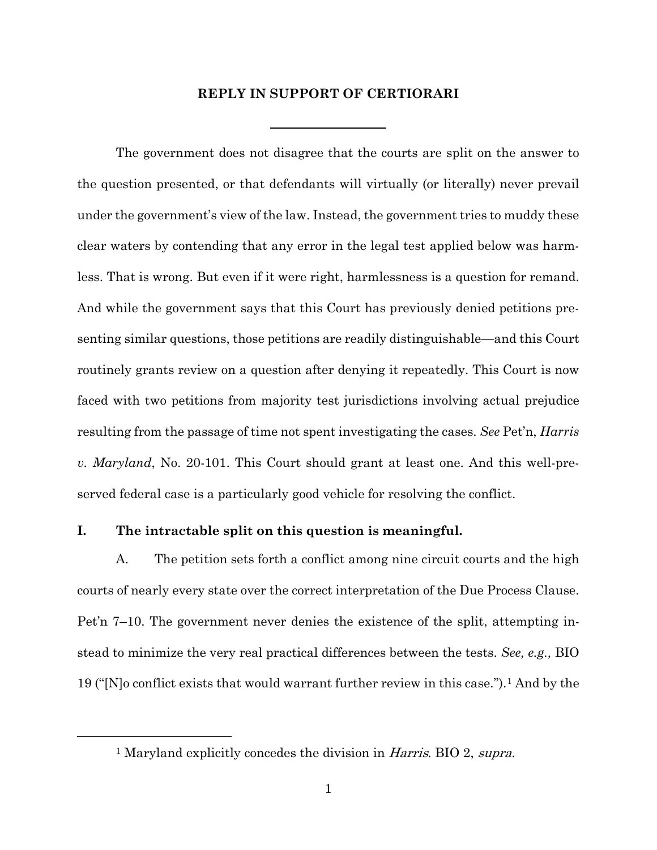#### **REPLY IN SUPPORT OF CERTIORARI**

<span id="page-5-0"></span>The government does not disagree that the courts are split on the answer to the question presented, or that defendants will virtually (or literally) never prevail under the government's view of the law. Instead, the government tries to muddy these clear waters by contending that any error in the legal test applied below was harmless. That is wrong. But even if it were right, harmlessness is a question for remand. And while the government says that this Court has previously denied petitions presenting similar questions, those petitions are readily distinguishable—and this Court routinely grants review on a question after denying it repeatedly. This Court is now faced with two petitions from majority test jurisdictions involving actual prejudice resulting from the passage of time not spent investigating the cases. *See* Pet'n, *Harris v. Maryland*, No. 20-101. This Court should grant at least one. And this well-preserved federal case is a particularly good vehicle for resolving the conflict.

### <span id="page-5-1"></span>**I. The intractable split on this question is meaningful.**

<span id="page-5-2"></span> $\overline{a}$ 

A. The petition sets forth a conflict among nine circuit courts and the high courts of nearly every state over the correct interpretation of the Due Process Clause. Pet'n 7–10. The government never denies the existence of the split, attempting instead to minimize the very real practical differences between the tests. *See, e.g.,* BIO 19 ("[N]o conflict exists that would warrant further review in this case.").[1](#page-5-2) And by the

<sup>&</sup>lt;sup>1</sup> Maryland explicitly concedes the division in *Harris*. BIO 2, *supra*.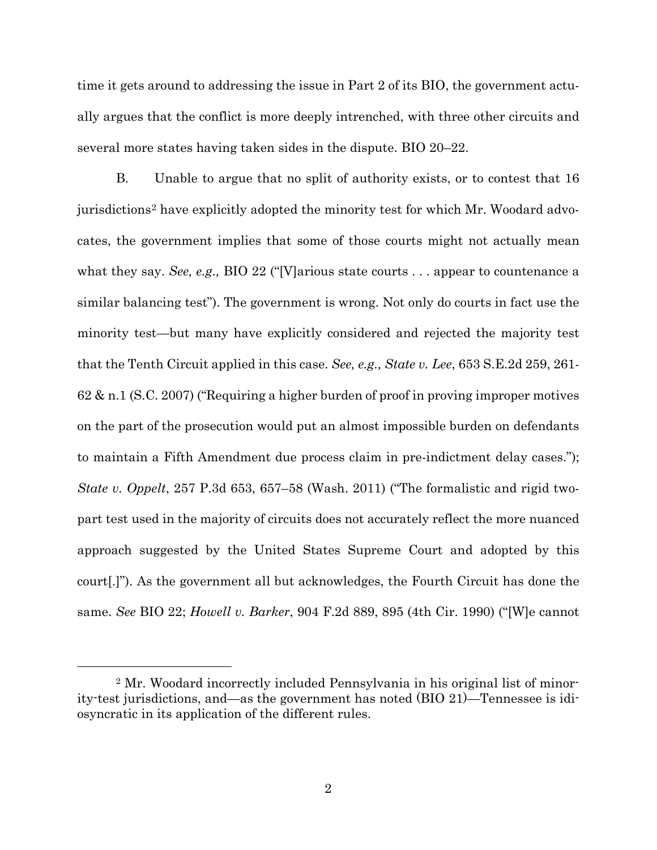time it gets around to addressing the issue in Part 2 of its BIO, the government actually argues that the conflict is more deeply intrenched, with three other circuits and several more states having taken sides in the dispute. BIO 20–22.

B. Unable to argue that no split of authority exists, or to contest that 16 jurisdictions[2](#page-6-0) have explicitly adopted the minority test for which Mr. Woodard advocates, the government implies that some of those courts might not actually mean what they say. *See, e.g.,* BIO 22 ("[V]arious state courts . . . appear to countenance a similar balancing test"). The government is wrong. Not only do courts in fact use the minority test—but many have explicitly considered and rejected the majority test that the Tenth Circuit applied in this case. *See, e.g., State v. Lee*, 653 S.E.2d 259, 261- 62 & n.1 (S.C. 2007) ("Requiring a higher burden of proof in proving improper motives on the part of the prosecution would put an almost impossible burden on defendants to maintain a Fifth Amendment due process claim in pre-indictment delay cases."); *State v. Oppelt*, 257 P.3d 653, 657–58 (Wash. 2011) ("The formalistic and rigid twopart test used in the majority of circuits does not accurately reflect the more nuanced approach suggested by the United States Supreme Court and adopted by this court[.]"). As the government all but acknowledges, the Fourth Circuit has done the same. *See* BIO 22; *Howell v. Barker*, 904 F.2d 889, 895 (4th Cir. 1990) ("[W]e cannot

<span id="page-6-0"></span><sup>2</sup> Mr. Woodard incorrectly included Pennsylvania in his original list of minority-test jurisdictions, and—as the government has noted (BIO 21)—Tennessee is idiosyncratic in its application of the different rules.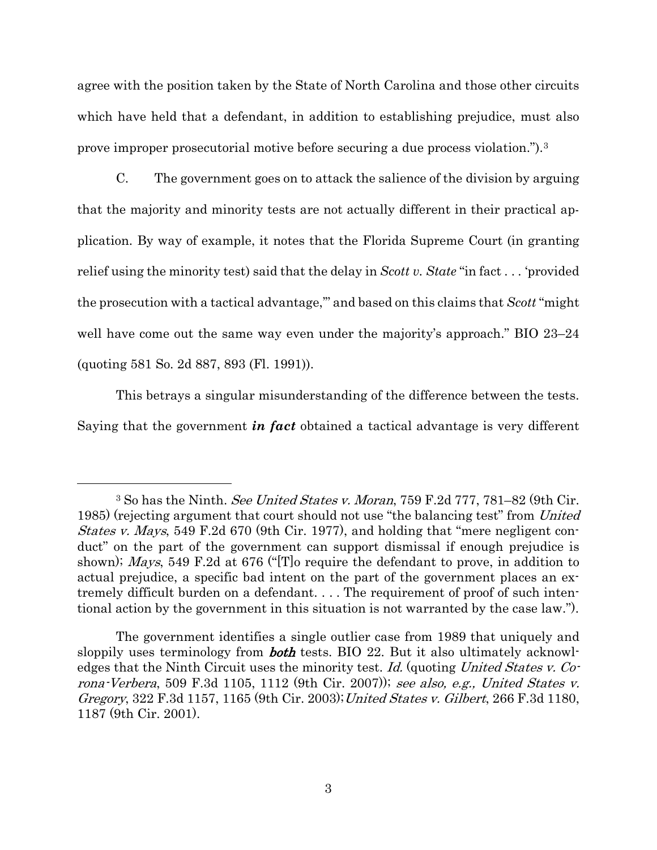agree with the position taken by the State of North Carolina and those other circuits which have held that a defendant, in addition to establishing prejudice, must also prove improper prosecutorial motive before securing a due process violation.").[3](#page-7-0)

C. The government goes on to attack the salience of the division by arguing that the majority and minority tests are not actually different in their practical application. By way of example, it notes that the Florida Supreme Court (in granting relief using the minority test) said that the delay in *Scott v. State* "in fact . . . 'provided the prosecution with a tactical advantage,'" and based on this claims that *Scott* "might well have come out the same way even under the majority's approach." BIO 23–24 (quoting 581 So. 2d 887, 893 (Fl. 1991)).

This betrays a singular misunderstanding of the difference between the tests. Saying that the government *in fact* obtained a tactical advantage is very different

<span id="page-7-0"></span><sup>3</sup> So has the Ninth. See United States v. Moran, 759 F.2d 777, 781–82 (9th Cir. 1985) (rejecting argument that court should not use "the balancing test" from United States v. Mays, 549 F.2d 670 (9th Cir. 1977), and holding that "mere negligent conduct" on the part of the government can support dismissal if enough prejudice is shown); Mays, 549 F.2d at 676 ("[T]o require the defendant to prove, in addition to actual prejudice, a specific bad intent on the part of the government places an extremely difficult burden on a defendant. . . . The requirement of proof of such intentional action by the government in this situation is not warranted by the case law.").

The government identifies a single outlier case from 1989 that uniquely and sloppily uses terminology from **both** tests. BIO 22. But it also ultimately acknowledges that the Ninth Circuit uses the minority test. Id. (quoting United States v. Corona-Verbera, 509 F.3d 1105, 1112 (9th Cir. 2007)); see also, e.g., United States v. Gregory, 322 F.3d 1157, 1165 (9th Cir. 2003);United States v. Gilbert, 266 F.3d 1180, 1187 (9th Cir. 2001).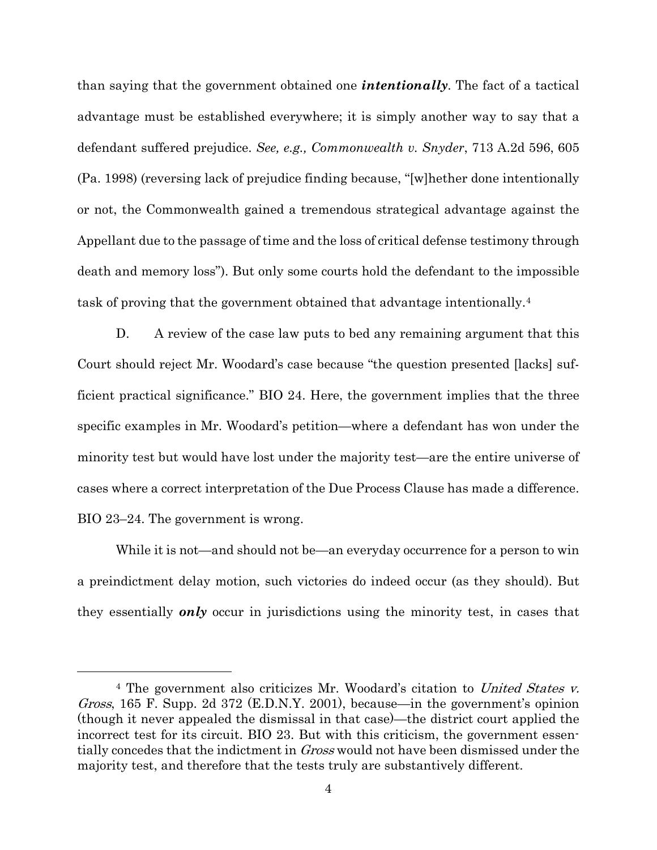than saying that the government obtained one *intentionally*. The fact of a tactical advantage must be established everywhere; it is simply another way to say that a defendant suffered prejudice. *See, e.g., Commonwealth v. Snyder*, 713 A.2d 596, 605 (Pa. 1998) (reversing lack of prejudice finding because, "[w]hether done intentionally or not, the Commonwealth gained a tremendous strategical advantage against the Appellant due to the passage of time and the loss of critical defense testimony through death and memory loss"). But only some courts hold the defendant to the impossible task of proving that the government obtained that advantage intentionally[.4](#page-8-0)

D. A review of the case law puts to bed any remaining argument that this Court should reject Mr. Woodard's case because "the question presented [lacks] sufficient practical significance." BIO 24. Here, the government implies that the three specific examples in Mr. Woodard's petition—where a defendant has won under the minority test but would have lost under the majority test—are the entire universe of cases where a correct interpretation of the Due Process Clause has made a difference. BIO 23–24. The government is wrong.

While it is not—and should not be—an everyday occurrence for a person to win a preindictment delay motion, such victories do indeed occur (as they should). But they essentially *only* occur in jurisdictions using the minority test, in cases that

<span id="page-8-0"></span><sup>&</sup>lt;sup>4</sup> The government also criticizes Mr. Woodard's citation to *United States v.* Gross, 165 F. Supp. 2d 372 (E.D.N.Y. 2001), because—in the government's opinion (though it never appealed the dismissal in that case)—the district court applied the incorrect test for its circuit. BIO 23. But with this criticism, the government essentially concedes that the indictment in *Gross* would not have been dismissed under the majority test, and therefore that the tests truly are substantively different.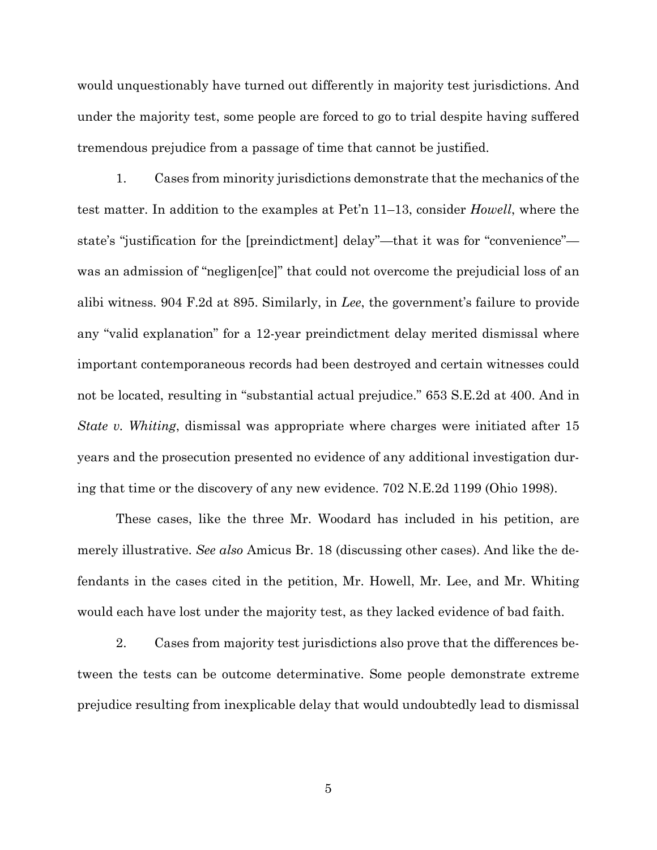would unquestionably have turned out differently in majority test jurisdictions. And under the majority test, some people are forced to go to trial despite having suffered tremendous prejudice from a passage of time that cannot be justified.

1. Cases from minority jurisdictions demonstrate that the mechanics of the test matter. In addition to the examples at Pet'n 11–13, consider *Howell*, where the state's "justification for the [preindictment] delay"—that it was for "convenience" was an admission of "negligen[ce]" that could not overcome the prejudicial loss of an alibi witness. 904 F.2d at 895. Similarly, in *Lee*, the government's failure to provide any "valid explanation" for a 12-year preindictment delay merited dismissal where important contemporaneous records had been destroyed and certain witnesses could not be located, resulting in "substantial actual prejudice." 653 S.E.2d at 400. And in *State v. Whiting*, dismissal was appropriate where charges were initiated after 15 years and the prosecution presented no evidence of any additional investigation during that time or the discovery of any new evidence. 702 N.E.2d 1199 (Ohio 1998).

These cases, like the three Mr. Woodard has included in his petition, are merely illustrative. *See also* Amicus Br. 18 (discussing other cases). And like the defendants in the cases cited in the petition, Mr. Howell, Mr. Lee, and Mr. Whiting would each have lost under the majority test, as they lacked evidence of bad faith.

2. Cases from majority test jurisdictions also prove that the differences between the tests can be outcome determinative. Some people demonstrate extreme prejudice resulting from inexplicable delay that would undoubtedly lead to dismissal

5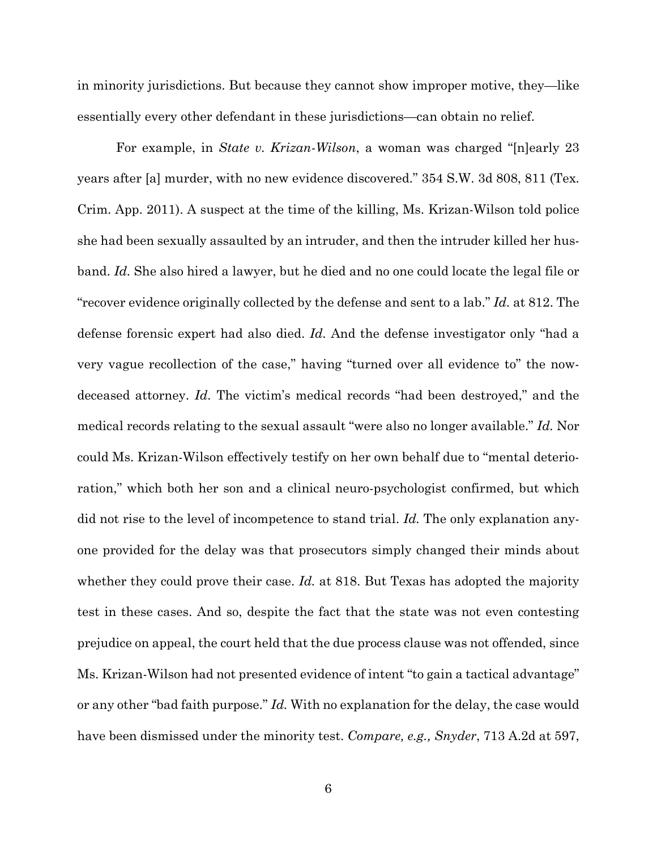in minority jurisdictions. But because they cannot show improper motive, they—like essentially every other defendant in these jurisdictions—can obtain no relief.

For example, in *State v. Krizan-Wilson*, a woman was charged "[n]early 23 years after [a] murder, with no new evidence discovered." 354 S.W. 3d 808, 811 (Tex. Crim. App. 2011). A suspect at the time of the killing, Ms. Krizan-Wilson told police she had been sexually assaulted by an intruder, and then the intruder killed her husband. *Id.* She also hired a lawyer, but he died and no one could locate the legal file or "recover evidence originally collected by the defense and sent to a lab." *Id.* at 812. The defense forensic expert had also died. *Id.* And the defense investigator only "had a very vague recollection of the case," having "turned over all evidence to" the nowdeceased attorney. *Id.* The victim's medical records "had been destroyed," and the medical records relating to the sexual assault "were also no longer available." *Id.* Nor could Ms. Krizan-Wilson effectively testify on her own behalf due to "mental deterioration," which both her son and a clinical neuro-psychologist confirmed, but which did not rise to the level of incompetence to stand trial. *Id.* The only explanation anyone provided for the delay was that prosecutors simply changed their minds about whether they could prove their case. *Id.* at 818. But Texas has adopted the majority test in these cases. And so, despite the fact that the state was not even contesting prejudice on appeal, the court held that the due process clause was not offended, since Ms. Krizan-Wilson had not presented evidence of intent "to gain a tactical advantage" or any other "bad faith purpose." *Id.* With no explanation for the delay, the case would have been dismissed under the minority test. *Compare, e.g., Snyder*, 713 A.2d at 597,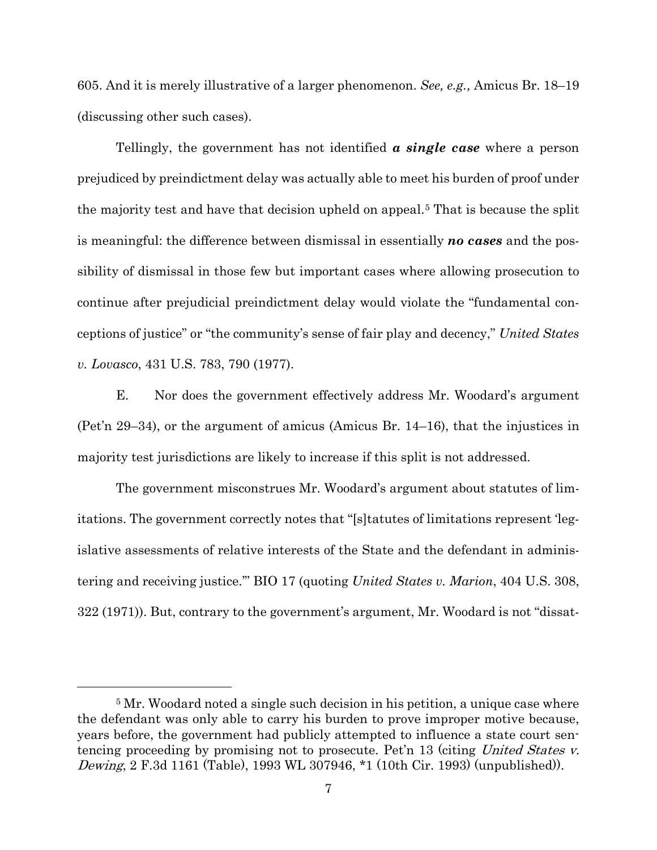605. And it is merely illustrative of a larger phenomenon. *See, e.g.,* Amicus Br. 18–19 (discussing other such cases).

Tellingly, the government has not identified *a single case* where a person prejudiced by preindictment delay was actually able to meet his burden of proof under the majority test and have that decision upheld on appeal.[5](#page-11-0) That is because the split is meaningful: the difference between dismissal in essentially *no cases* and the possibility of dismissal in those few but important cases where allowing prosecution to continue after prejudicial preindictment delay would violate the "fundamental conceptions of justice" or "the community's sense of fair play and decency," *United States v. Lovasco*, 431 U.S. 783, 790 (1977).

E. Nor does the government effectively address Mr. Woodard's argument (Pet'n 29–34), or the argument of amicus (Amicus Br. 14–16), that the injustices in majority test jurisdictions are likely to increase if this split is not addressed.

The government misconstrues Mr. Woodard's argument about statutes of limitations. The government correctly notes that "[s]tatutes of limitations represent 'legislative assessments of relative interests of the State and the defendant in administering and receiving justice.'" BIO 17 (quoting *United States v. Marion*, 404 U.S. 308, 322 (1971)). But, contrary to the government's argument, Mr. Woodard is not "dissat-

<span id="page-11-0"></span><sup>&</sup>lt;sup>5</sup> Mr. Woodard noted a single such decision in his petition, a unique case where the defendant was only able to carry his burden to prove improper motive because, years before, the government had publicly attempted to influence a state court sentencing proceeding by promising not to prosecute. Pet'n 13 (citing United States v. Dewing, 2 F.3d 1161 (Table), 1993 WL 307946, \*1 (10th Cir. 1993) (unpublished)).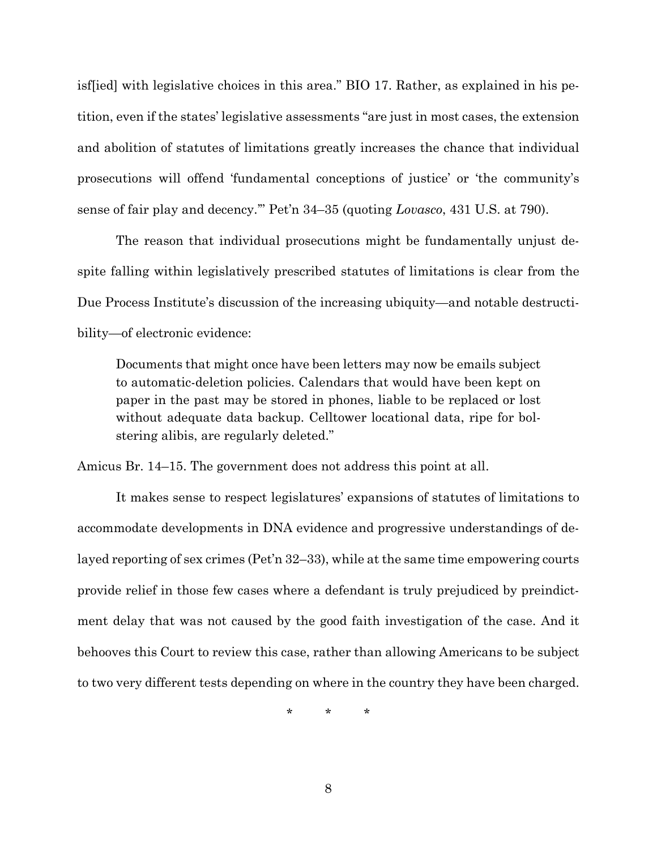isf[ied] with legislative choices in this area." BIO 17. Rather, as explained in his petition, even if the states' legislative assessments "are just in most cases, the extension and abolition of statutes of limitations greatly increases the chance that individual prosecutions will offend 'fundamental conceptions of justice' or 'the community's sense of fair play and decency.'" Pet'n 34–35 (quoting *Lovasco*, 431 U.S. at 790).

The reason that individual prosecutions might be fundamentally unjust despite falling within legislatively prescribed statutes of limitations is clear from the Due Process Institute's discussion of the increasing ubiquity—and notable destructibility—of electronic evidence:

Documents that might once have been letters may now be emails subject to automatic-deletion policies. Calendars that would have been kept on paper in the past may be stored in phones, liable to be replaced or lost without adequate data backup. Celltower locational data, ripe for bolstering alibis, are regularly deleted."

Amicus Br. 14–15. The government does not address this point at all.

It makes sense to respect legislatures' expansions of statutes of limitations to accommodate developments in DNA evidence and progressive understandings of delayed reporting of sex crimes (Pet'n 32–33), while at the same time empowering courts provide relief in those few cases where a defendant is truly prejudiced by preindictment delay that was not caused by the good faith investigation of the case. And it behooves this Court to review this case, rather than allowing Americans to be subject to two very different tests depending on where in the country they have been charged.

\* \* \*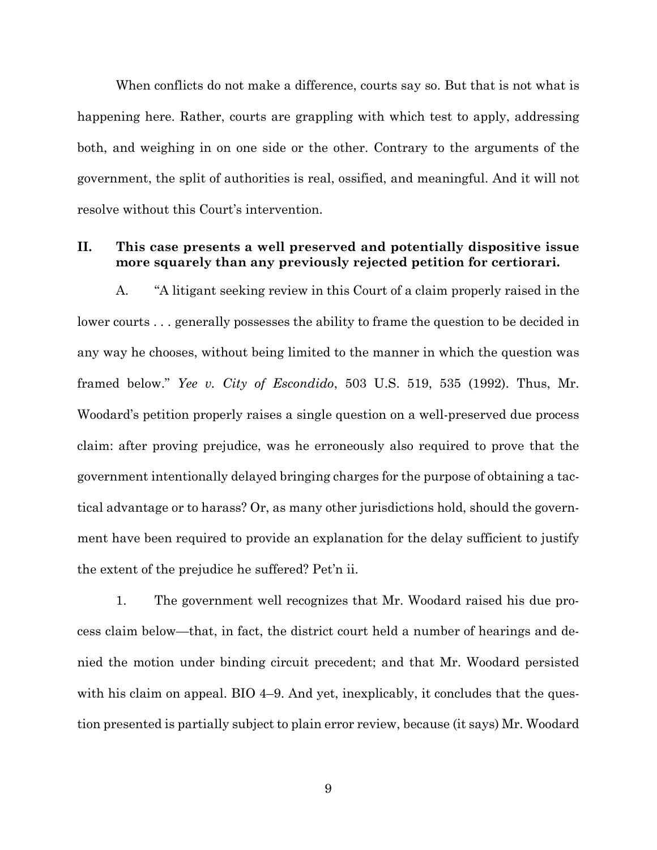When conflicts do not make a difference, courts say so. But that is not what is happening here. Rather, courts are grappling with which test to apply, addressing both, and weighing in on one side or the other. Contrary to the arguments of the government, the split of authorities is real, ossified, and meaningful. And it will not resolve without this Court's intervention.

### <span id="page-13-0"></span>**II. This case presents a well preserved and potentially dispositive issue more squarely than any previously rejected petition for certiorari.**

A. "A litigant seeking review in this Court of a claim properly raised in the lower courts . . . generally possesses the ability to frame the question to be decided in any way he chooses, without being limited to the manner in which the question was framed below." *Yee v. City of Escondido*, 503 U.S. 519, 535 (1992). Thus, Mr. Woodard's petition properly raises a single question on a well-preserved due process claim: after proving prejudice, was he erroneously also required to prove that the government intentionally delayed bringing charges for the purpose of obtaining a tactical advantage or to harass? Or, as many other jurisdictions hold, should the government have been required to provide an explanation for the delay sufficient to justify the extent of the prejudice he suffered? Pet'n ii.

1. The government well recognizes that Mr. Woodard raised his due process claim below—that, in fact, the district court held a number of hearings and denied the motion under binding circuit precedent; and that Mr. Woodard persisted with his claim on appeal. BIO 4–9. And yet, inexplicably, it concludes that the question presented is partially subject to plain error review, because (it says) Mr. Woodard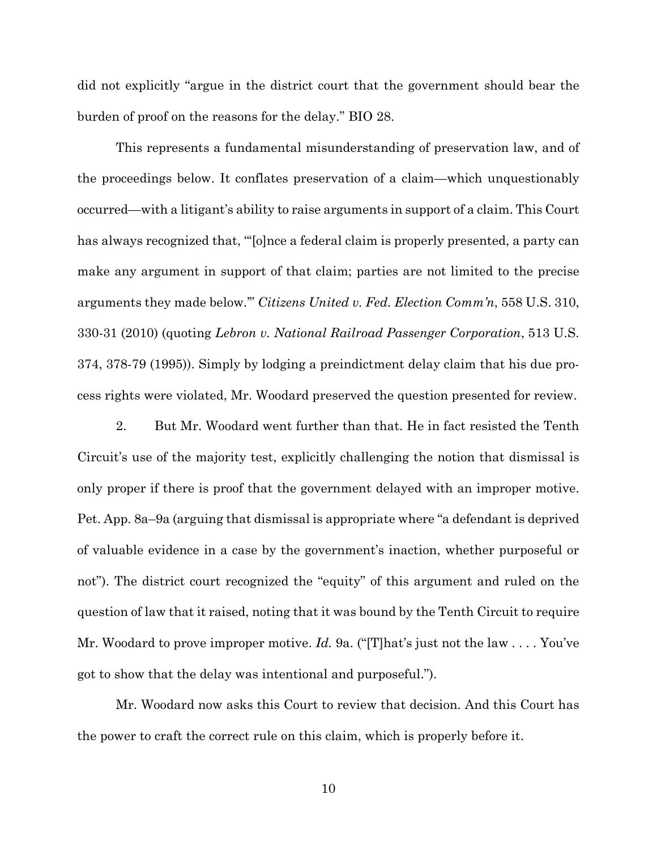did not explicitly "argue in the district court that the government should bear the burden of proof on the reasons for the delay." BIO 28.

This represents a fundamental misunderstanding of preservation law, and of the proceedings below. It conflates preservation of a claim—which unquestionably occurred—with a litigant's ability to raise arguments in support of a claim. This Court has always recognized that, "'[o]nce a federal claim is properly presented, a party can make any argument in support of that claim; parties are not limited to the precise arguments they made below.'" *Citizens United v. Fed. Election Comm'n*, 558 U.S. 310, 330-31 (2010) (quoting *Lebron v. National Railroad Passenger Corporation*, 513 U.S. 374, 378-79 (1995)). Simply by lodging a preindictment delay claim that his due process rights were violated, Mr. Woodard preserved the question presented for review.

2. But Mr. Woodard went further than that. He in fact resisted the Tenth Circuit's use of the majority test, explicitly challenging the notion that dismissal is only proper if there is proof that the government delayed with an improper motive. Pet. App. 8a–9a (arguing that dismissal is appropriate where "a defendant is deprived of valuable evidence in a case by the government's inaction, whether purposeful or not"). The district court recognized the "equity" of this argument and ruled on the question of law that it raised, noting that it was bound by the Tenth Circuit to require Mr. Woodard to prove improper motive. *Id.* 9a. ("[T]hat's just not the law . . . . You've got to show that the delay was intentional and purposeful.").

Mr. Woodard now asks this Court to review that decision. And this Court has the power to craft the correct rule on this claim, which is properly before it.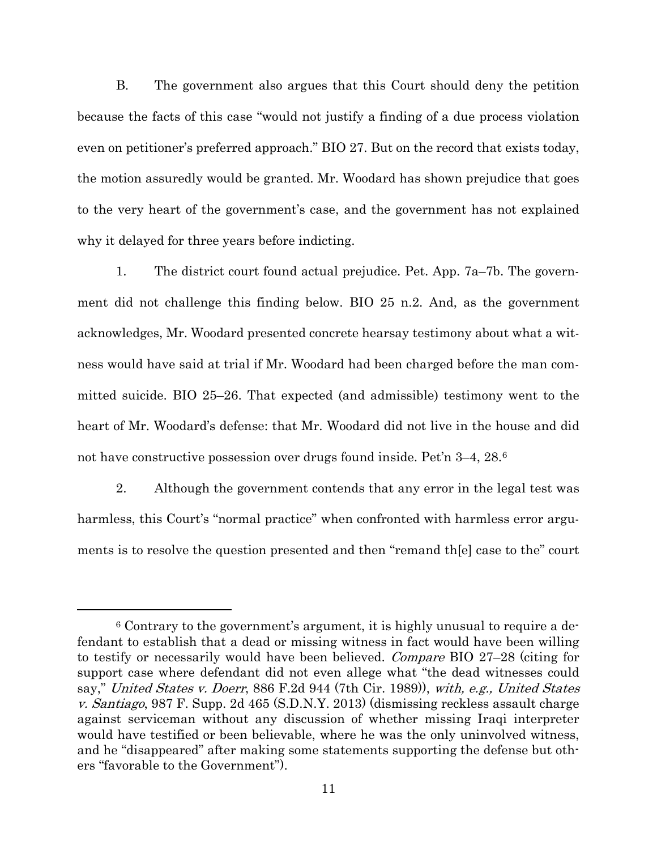B. The government also argues that this Court should deny the petition because the facts of this case "would not justify a finding of a due process violation even on petitioner's preferred approach." BIO 27. But on the record that exists today, the motion assuredly would be granted. Mr. Woodard has shown prejudice that goes to the very heart of the government's case, and the government has not explained why it delayed for three years before indicting.

1. The district court found actual prejudice. Pet. App. 7a–7b. The government did not challenge this finding below. BIO 25 n.2. And, as the government acknowledges, Mr. Woodard presented concrete hearsay testimony about what a witness would have said at trial if Mr. Woodard had been charged before the man committed suicide. BIO 25–26. That expected (and admissible) testimony went to the heart of Mr. Woodard's defense: that Mr. Woodard did not live in the house and did not have constructive possession over drugs found inside. Pet'n 3–4, 28.[6](#page-15-0)

2. Although the government contends that any error in the legal test was harmless, this Court's "normal practice" when confronted with harmless error arguments is to resolve the question presented and then "remand th[e] case to the" court

<span id="page-15-0"></span><sup>6</sup> Contrary to the government's argument, it is highly unusual to require a defendant to establish that a dead or missing witness in fact would have been willing to testify or necessarily would have been believed. Compare BIO 27–28 (citing for support case where defendant did not even allege what "the dead witnesses could say," United States v. Doerr, 886 F.2d 944 (7th Cir. 1989)), with, e.g., United States v. Santiago, 987 F. Supp. 2d 465 (S.D.N.Y. 2013) (dismissing reckless assault charge against serviceman without any discussion of whether missing Iraqi interpreter would have testified or been believable, where he was the only uninvolved witness, and he "disappeared" after making some statements supporting the defense but others "favorable to the Government").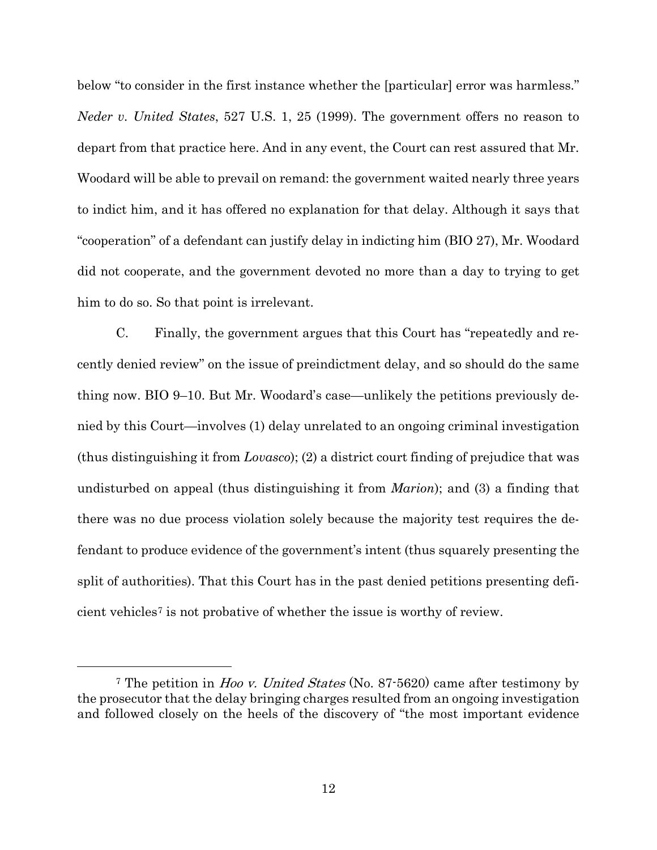below "to consider in the first instance whether the [particular] error was harmless." *Neder v. United States*, 527 U.S. 1, 25 (1999). The government offers no reason to depart from that practice here. And in any event, the Court can rest assured that Mr. Woodard will be able to prevail on remand: the government waited nearly three years to indict him, and it has offered no explanation for that delay. Although it says that "cooperation" of a defendant can justify delay in indicting him (BIO 27), Mr. Woodard did not cooperate, and the government devoted no more than a day to trying to get him to do so. So that point is irrelevant.

C. Finally, the government argues that this Court has "repeatedly and recently denied review" on the issue of preindictment delay, and so should do the same thing now. BIO 9–10. But Mr. Woodard's case—unlikely the petitions previously denied by this Court—involves (1) delay unrelated to an ongoing criminal investigation (thus distinguishing it from *Lovasco*); (2) a district court finding of prejudice that was undisturbed on appeal (thus distinguishing it from *Marion*); and (3) a finding that there was no due process violation solely because the majority test requires the defendant to produce evidence of the government's intent (thus squarely presenting the split of authorities). That this Court has in the past denied petitions presenting deficient vehicles[7](#page-16-0) is not probative of whether the issue is worthy of review.

<span id="page-16-0"></span><sup>&</sup>lt;sup>7</sup> The petition in *Hoo v. United States* (No. 87-5620) came after testimony by the prosecutor that the delay bringing charges resulted from an ongoing investigation and followed closely on the heels of the discovery of "the most important evidence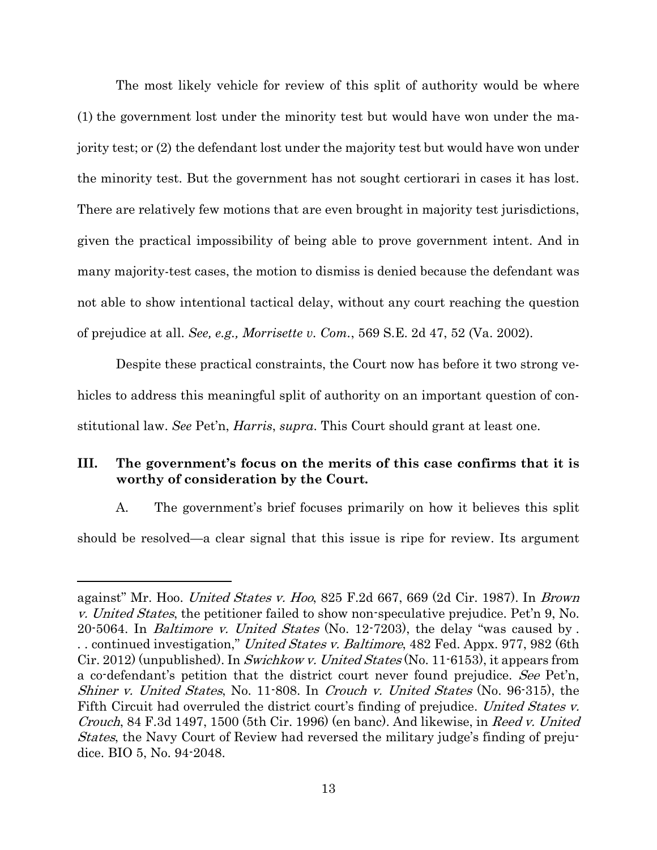The most likely vehicle for review of this split of authority would be where (1) the government lost under the minority test but would have won under the majority test; or (2) the defendant lost under the majority test but would have won under the minority test. But the government has not sought certiorari in cases it has lost. There are relatively few motions that are even brought in majority test jurisdictions, given the practical impossibility of being able to prove government intent. And in many majority-test cases, the motion to dismiss is denied because the defendant was not able to show intentional tactical delay, without any court reaching the question of prejudice at all. *See, e.g., Morrisette v. Com.*, 569 S.E. 2d 47, 52 (Va. 2002).

Despite these practical constraints, the Court now has before it two strong vehicles to address this meaningful split of authority on an important question of constitutional law. *See* Pet'n, *Harris*, *supra*. This Court should grant at least one.

# <span id="page-17-0"></span>**III. The government's focus on the merits of this case confirms that it is worthy of consideration by the Court.**

A. The government's brief focuses primarily on how it believes this split should be resolved—a clear signal that this issue is ripe for review. Its argument

against" Mr. Hoo. United States v. Hoo, 825 F.2d 667, 669 (2d Cir. 1987). In Brown v. United States, the petitioner failed to show non-speculative prejudice. Pet'n 9, No. 20-5064. In Baltimore v. United States (No. 12-7203), the delay "was caused by . .. continued investigation," United States v. Baltimore, 482 Fed. Appx. 977, 982 (6th Cir. 2012) (unpublished). In Swichkow v. United States (No. 11-6153), it appears from a co-defendant's petition that the district court never found prejudice. See Pet'n, Shiner v. United States, No. 11-808. In Crouch v. United States (No. 96-315), the Fifth Circuit had overruled the district court's finding of prejudice. United States v. Crouch, 84 F.3d 1497, 1500 (5th Cir. 1996) (en banc). And likewise, in Reed v. United States, the Navy Court of Review had reversed the military judge's finding of prejudice. BIO 5, No. 94-2048.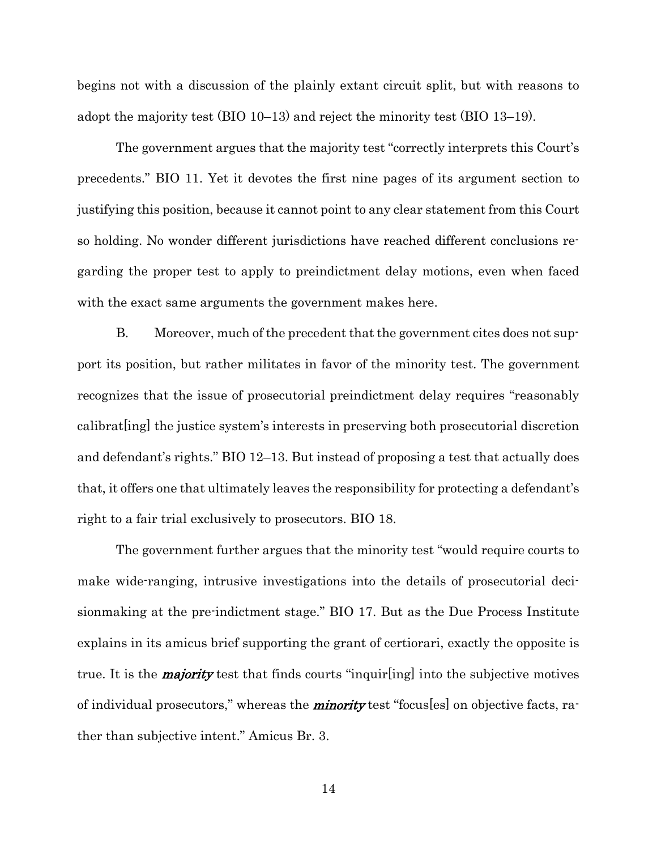begins not with a discussion of the plainly extant circuit split, but with reasons to adopt the majority test (BIO 10–13) and reject the minority test (BIO 13–19).

The government argues that the majority test "correctly interprets this Court's precedents." BIO 11. Yet it devotes the first nine pages of its argument section to justifying this position, because it cannot point to any clear statement from this Court so holding. No wonder different jurisdictions have reached different conclusions regarding the proper test to apply to preindictment delay motions, even when faced with the exact same arguments the government makes here.

B. Moreover, much of the precedent that the government cites does not support its position, but rather militates in favor of the minority test. The government recognizes that the issue of prosecutorial preindictment delay requires "reasonably calibrat[ing] the justice system's interests in preserving both prosecutorial discretion and defendant's rights." BIO 12–13. But instead of proposing a test that actually does that, it offers one that ultimately leaves the responsibility for protecting a defendant's right to a fair trial exclusively to prosecutors. BIO 18.

The government further argues that the minority test "would require courts to make wide-ranging, intrusive investigations into the details of prosecutorial decisionmaking at the pre-indictment stage." BIO 17. But as the Due Process Institute explains in its amicus brief supporting the grant of certiorari, exactly the opposite is true. It is the **majority** test that finds courts "inquir(ing) into the subjective motives of individual prosecutors," whereas the **minority** test "focus [es] on objective facts, rather than subjective intent." Amicus Br. 3.